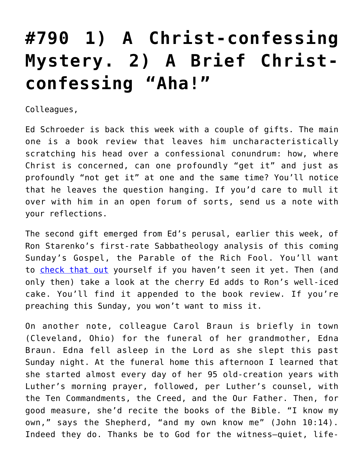## **[#790 1\) A Christ-confessing](https://crossings.org/790-1-a-christ-confessing-mystery-2-a-brief-christ-confessing-aha/) [Mystery. 2\) A Brief Christ](https://crossings.org/790-1-a-christ-confessing-mystery-2-a-brief-christ-confessing-aha/)[confessing "Aha!"](https://crossings.org/790-1-a-christ-confessing-mystery-2-a-brief-christ-confessing-aha/)**

Colleagues,

Ed Schroeder is back this week with a couple of gifts. The main one is a book review that leaves him uncharacteristically scratching his head over a confessional conundrum: how, where Christ is concerned, can one profoundly "get it" and just as profoundly "not get it" at one and the same time? You'll notice that he leaves the question hanging. If you'd care to mull it over with him in an open forum of sorts, send us a note with your reflections.

The second gift emerged from Ed's perusal, earlier this week, of Ron Starenko's first-rate Sabbatheology analysis of this coming Sunday's Gospel, the Parable of the Rich Fool. You'll want to [check that out](https://crossings.org/theology/2013/theolo976.shtml) yourself if you haven't seen it yet. Then (and only then) take a look at the cherry Ed adds to Ron's well-iced cake. You'll find it appended to the book review. If you're preaching this Sunday, you won't want to miss it.

On another note, colleague Carol Braun is briefly in town (Cleveland, Ohio) for the funeral of her grandmother, Edna Braun. Edna fell asleep in the Lord as she slept this past Sunday night. At the funeral home this afternoon I learned that she started almost every day of her 95 old-creation years with Luther's morning prayer, followed, per Luther's counsel, with the Ten Commandments, the Creed, and the Our Father. Then, for good measure, she'd recite the books of the Bible. "I know my own," says the Shepherd, "and my own know me" (John 10:14). Indeed they do. Thanks be to God for the witness—quiet, life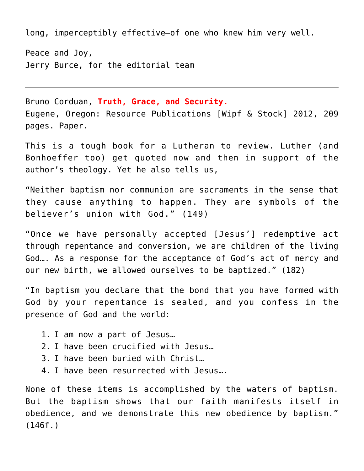long, imperceptibly effective—of one who knew him very well.

Peace and Joy, Jerry Burce, for the editorial team

Bruno Corduan, **Truth, Grace, and Security.** Eugene, Oregon: Resource Publications [Wipf & Stock] 2012, 209 pages. Paper.

This is a tough book for a Lutheran to review. Luther (and Bonhoeffer too) get quoted now and then in support of the author's theology. Yet he also tells us,

"Neither baptism nor communion are sacraments in the sense that they cause anything to happen. They are symbols of the believer's union with God." (149)

"Once we have personally accepted [Jesus'] redemptive act through repentance and conversion, we are children of the living God…. As a response for the acceptance of God's act of mercy and our new birth, we allowed ourselves to be baptized." (182)

"In baptism you declare that the bond that you have formed with God by your repentance is sealed, and you confess in the presence of God and the world:

- 1. I am now a part of Jesus…
- 2. I have been crucified with Jesus…
- 3. I have been buried with Christ…
- 4. I have been resurrected with Jesus….

None of these items is accomplished by the waters of baptism. But the baptism shows that our faith manifests itself in obedience, and we demonstrate this new obedience by baptism." (146f.)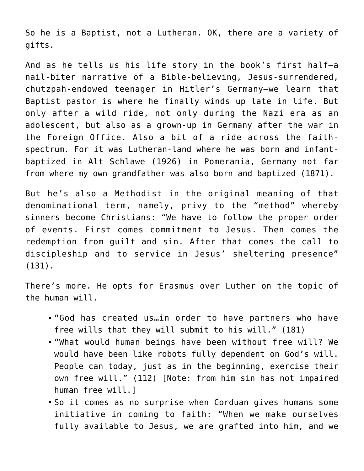So he is a Baptist, not a Lutheran. OK, there are a variety of gifts.

And as he tells us his life story in the book's first half—a nail-biter narrative of a Bible-believing, Jesus-surrendered, chutzpah-endowed teenager in Hitler's Germany—we learn that Baptist pastor is where he finally winds up late in life. But only after a wild ride, not only during the Nazi era as an adolescent, but also as a grown-up in Germany after the war in the Foreign Office. Also a bit of a ride across the faithspectrum. For it was Lutheran-land where he was born and infantbaptized in Alt Schlawe (1926) in Pomerania, Germany—not far from where my own grandfather was also born and baptized (1871).

But he's also a Methodist in the original meaning of that denominational term, namely, privy to the "method" whereby sinners become Christians: "We have to follow the proper order of events. First comes commitment to Jesus. Then comes the redemption from guilt and sin. After that comes the call to discipleship and to service in Jesus' sheltering presence" (131).

There's more. He opts for Erasmus over Luther on the topic of the human will.

- "God has created us…in order to have partners who have free wills that they will submit to his will." (181)
- "What would human beings have been without free will? We would have been like robots fully dependent on God's will. People can today, just as in the beginning, exercise their own free will." (112) [Note: from him sin has not impaired human free will.]
- So it comes as no surprise when Corduan gives humans some initiative in coming to faith: "When we make ourselves fully available to Jesus, we are grafted into him, and we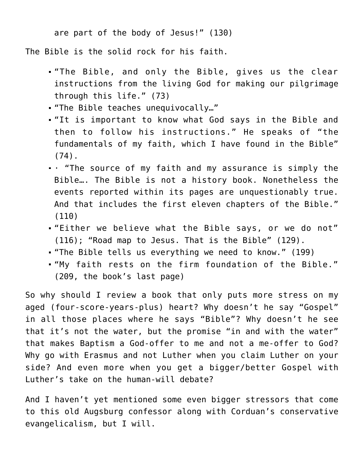are part of the body of Jesus!" (130)

The Bible is the solid rock for his faith.

- "The Bible, and only the Bible, gives us the clear instructions from the living God for making our pilgrimage through this life." (73)
- "The Bible teaches unequivocally…"
- "It is important to know what God says in the Bible and then to follow his instructions." He speaks of "the fundamentals of my faith, which I have found in the Bible" (74).
- · "The source of my faith and my assurance is simply the Bible…. The Bible is not a history book. Nonetheless the events reported within its pages are unquestionably true. And that includes the first eleven chapters of the Bible." (110)
- "Either we believe what the Bible says, or we do not" (116); "Road map to Jesus. That is the Bible" (129).
- "The Bible tells us everything we need to know." (199)
- "My faith rests on the firm foundation of the Bible." (209, the book's last page)

So why should I review a book that only puts more stress on my aged (four-score-years-plus) heart? Why doesn't he say "Gospel" in all those places where he says "Bible"? Why doesn't he see that it's not the water, but the promise "in and with the water" that makes Baptism a God-offer to me and not a me-offer to God? Why go with Erasmus and not Luther when you claim Luther on your side? And even more when you get a bigger/better Gospel with Luther's take on the human-will debate?

And I haven't yet mentioned some even bigger stressors that come to this old Augsburg confessor along with Corduan's conservative evangelicalism, but I will.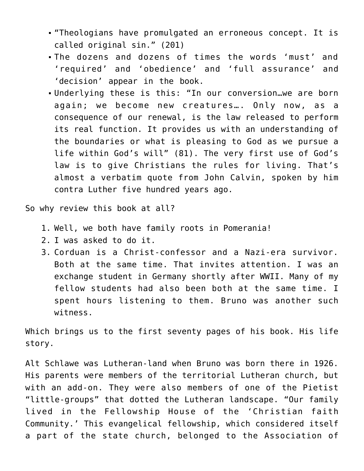- "Theologians have promulgated an erroneous concept. It is called original sin." (201)
- The dozens and dozens of times the words 'must' and 'required' and 'obedience' and 'full assurance' and 'decision' appear in the book.
- Underlying these is this: "In our conversion…we are born again; we become new creatures…. Only now, as a consequence of our renewal, is the law released to perform its real function. It provides us with an understanding of the boundaries or what is pleasing to God as we pursue a life within God's will" (81). The very first use of God's law is to give Christians the rules for living. That's almost a verbatim quote from John Calvin, spoken by him contra Luther five hundred years ago.

So why review this book at all?

- 1. Well, we both have family roots in Pomerania!
- 2. I was asked to do it.
- 3. Corduan is a Christ-confessor and a Nazi-era survivor. Both at the same time. That invites attention. I was an exchange student in Germany shortly after WWII. Many of my fellow students had also been both at the same time. I spent hours listening to them. Bruno was another such witness.

Which brings us to the first seventy pages of his book. His life story.

Alt Schlawe was Lutheran-land when Bruno was born there in 1926. His parents were members of the territorial Lutheran church, but with an add-on. They were also members of one of the Pietist "little-groups" that dotted the Lutheran landscape. "Our family lived in the Fellowship House of the 'Christian faith Community.' This evangelical fellowship, which considered itself a part of the state church, belonged to the Association of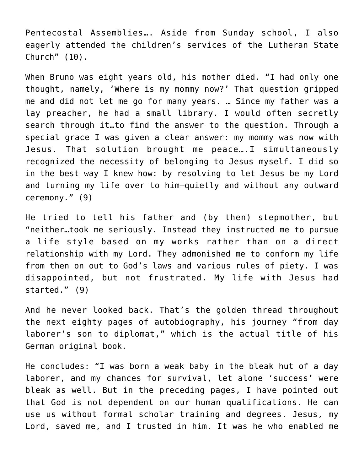Pentecostal Assemblies…. Aside from Sunday school, I also eagerly attended the children's services of the Lutheran State Church" (10).

When Bruno was eight years old, his mother died. "I had only one thought, namely, 'Where is my mommy now?' That question gripped me and did not let me go for many years. … Since my father was a lay preacher, he had a small library. I would often secretly search through it…to find the answer to the question. Through a special grace I was given a clear answer: my mommy was now with Jesus. That solution brought me peace….I simultaneously recognized the necessity of belonging to Jesus myself. I did so in the best way I knew how: by resolving to let Jesus be my Lord and turning my life over to him—quietly and without any outward ceremony." (9)

He tried to tell his father and (by then) stepmother, but "neither…took me seriously. Instead they instructed me to pursue a life style based on my works rather than on a direct relationship with my Lord. They admonished me to conform my life from then on out to God's laws and various rules of piety. I was disappointed, but not frustrated. My life with Jesus had started." (9)

And he never looked back. That's the golden thread throughout the next eighty pages of autobiography, his journey "from day laborer's son to diplomat," which is the actual title of his German original book.

He concludes: "I was born a weak baby in the bleak hut of a day laborer, and my chances for survival, let alone 'success' were bleak as well. But in the preceding pages, I have pointed out that God is not dependent on our human qualifications. He can use us without formal scholar training and degrees. Jesus, my Lord, saved me, and I trusted in him. It was he who enabled me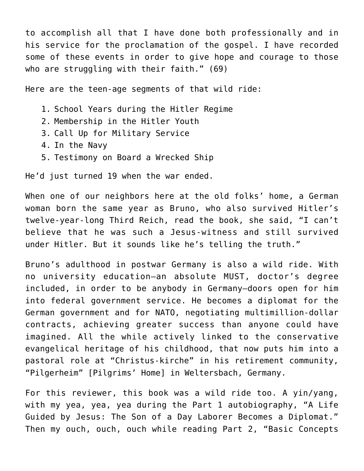to accomplish all that I have done both professionally and in his service for the proclamation of the gospel. I have recorded some of these events in order to give hope and courage to those who are struggling with their faith." (69)

Here are the teen-age segments of that wild ride:

- 1. School Years during the Hitler Regime
- 2. Membership in the Hitler Youth
- 3. Call Up for Military Service
- 4. In the Navy
- 5. Testimony on Board a Wrecked Ship

He'd just turned 19 when the war ended.

When one of our neighbors here at the old folks' home, a German woman born the same year as Bruno, who also survived Hitler's twelve-year-long Third Reich, read the book, she said, "I can't believe that he was such a Jesus-witness and still survived under Hitler. But it sounds like he's telling the truth."

Bruno's adulthood in postwar Germany is also a wild ride. With no university education—an absolute MUST, doctor's degree included, in order to be anybody in Germany—doors open for him into federal government service. He becomes a diplomat for the German government and for NATO, negotiating multimillion-dollar contracts, achieving greater success than anyone could have imagined. All the while actively linked to the conservative evangelical heritage of his childhood, that now puts him into a pastoral role at "Christus-kirche" in his retirement community, "Pilgerheim" [Pilgrims' Home] in Weltersbach, Germany.

For this reviewer, this book was a wild ride too. A yin/yang, with my yea, yea, yea during the Part 1 autobiography, "A Life Guided by Jesus: The Son of a Day Laborer Becomes a Diplomat." Then my ouch, ouch, ouch while reading Part 2, "Basic Concepts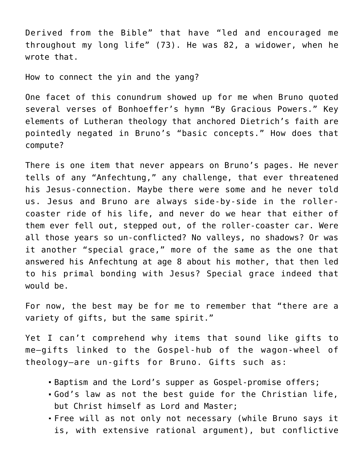Derived from the Bible" that have "led and encouraged me throughout my long life" (73). He was 82, a widower, when he wrote that.

How to connect the yin and the yang?

One facet of this conundrum showed up for me when Bruno quoted several verses of Bonhoeffer's hymn "By Gracious Powers." Key elements of Lutheran theology that anchored Dietrich's faith are pointedly negated in Bruno's "basic concepts." How does that compute?

There is one item that never appears on Bruno's pages. He never tells of any "Anfechtung," any challenge, that ever threatened his Jesus-connection. Maybe there were some and he never told us. Jesus and Bruno are always side-by-side in the rollercoaster ride of his life, and never do we hear that either of them ever fell out, stepped out, of the roller-coaster car. Were all those years so un-conflicted? No valleys, no shadows? Or was it another "special grace," more of the same as the one that answered his Anfechtung at age 8 about his mother, that then led to his primal bonding with Jesus? Special grace indeed that would be.

For now, the best may be for me to remember that "there are a variety of gifts, but the same spirit."

Yet I can't comprehend why items that sound like gifts to me—gifts linked to the Gospel-hub of the wagon-wheel of theology—are un-gifts for Bruno. Gifts such as:

- Baptism and the Lord's supper as Gospel-promise offers;
- God's law as not the best guide for the Christian life, but Christ himself as Lord and Master;
- Free will as not only not necessary (while Bruno says it is, with extensive rational argument), but conflictive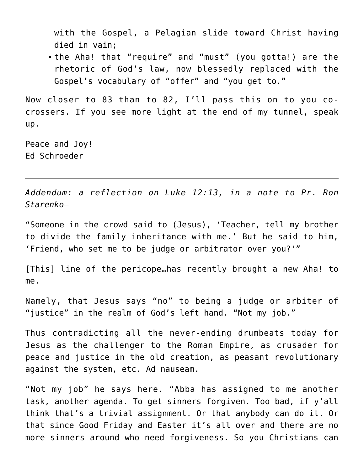with the Gospel, a Pelagian slide toward Christ having died in vain;

the Aha! that "require" and "must" (you gotta!) are the rhetoric of God's law, now blessedly replaced with the Gospel's vocabulary of "offer" and "you get to."

Now closer to 83 than to 82, I'll pass this on to you cocrossers. If you see more light at the end of my tunnel, speak up.

Peace and Joy! Ed Schroeder

*Addendum: a reflection on Luke 12:13, in a note to Pr. Ron Starenko—*

"Someone in the crowd said to (Jesus), 'Teacher, tell my brother to divide the family inheritance with me.' But he said to him, 'Friend, who set me to be judge or arbitrator over you?'"

[This] line of the pericope…has recently brought a new Aha! to me.

Namely, that Jesus says "no" to being a judge or arbiter of "justice" in the realm of God's left hand. "Not my job."

Thus contradicting all the never-ending drumbeats today for Jesus as the challenger to the Roman Empire, as crusader for peace and justice in the old creation, as peasant revolutionary against the system, etc. Ad nauseam.

"Not my job" he says here. "Abba has assigned to me another task, another agenda. To get sinners forgiven. Too bad, if y'all think that's a trivial assignment. Or that anybody can do it. Or that since Good Friday and Easter it's all over and there are no more sinners around who need forgiveness. So you Christians can